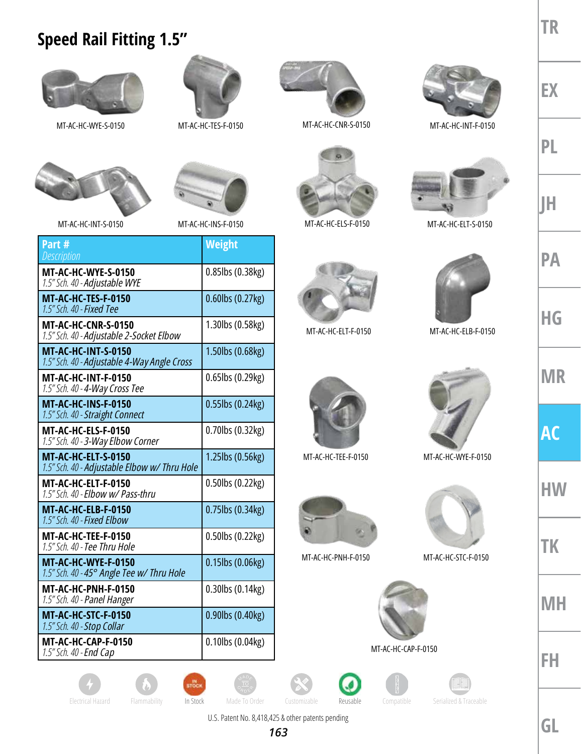## **Speed Rail Fitting 1.5"**





MT-AC-HC-WYE-S-0150 MT-AC-HC-TES-F-0150 MT-AC-HC-CNR-S-0150

**MT-AC-HC-WYE-S-0150** 1.5" Sch. 40 - Adjustable WYE

MT-AC-HC-INT-S-0150

**MT-AC-HC-TES-F-0150** *1.5" Sch. 40 - Fixed Tee* 

**MT-AC-HC-CNR-S-0150**

**MT-AC-HC-INT-S-0150**

**MT-AC-HC-INT-F-0150** *1.5" Sch. 40 - 4-Way Cross Tee* 

**MT-AC-HC-INS-F-0150** 1.5" Sch. 40 - Straight Connect

**MT-AC-HC-ELS-F-0150** 1.5" Sch. 40 - 3-Way Elbow Corner

**MT-AC-HC-ELT-S-0150**

**MT-AC-HC-ELT-F-0150** 1.5" Sch. 40 - **Elbow w/ Pass-thru** 

**MT-AC-HC-ELB-F-0150** *1.5" Sch. 40 - Fixed Elbow* 

**MT-AC-HC-TEE-F-0150** *1.5" Sch. 40 - Tee Thru Hole* 

**MT-AC-HC-WYE-F-0150**

**MT-AC-HC-PNH-F-0150** *1.5" Sch. 40 - Panel Hanger*

**MT-AC-HC-STC-F-0150** *1.5" Sch. 40 - Stop Collar* 

**MT-AC-HC-CAP-F-0150** *1.5" Sch. 40 - End Cap* 

*1.5" Sch. 40 - Adjustable 2-Socket Elbow* 

1.5" Sch. 40 - **Adjustable 4-Way Angle Cross** 

1.5" Sch. 40 - Adjustable Elbow w/ Thru Hole

*1.5" Sch. 40 - 45° Angle Tee w/ Thru Hole* 

**Part #** *Description*





MT-AC-HC-INT-F-0150



MT-AC-HC-INS-F-0150 MT-AC-HC-ELT-S-0150



MT-AC-HC-ELB-F-0150







MT-AC-HC-CAP-F-0150



















**PL JH**

**HG**

**PA**

**MR**

**AC**

**HW**

**TK**



**FH**























*163*



**TR**

**Weight**

0.85lbs (0.38kg)

0.60lbs (0.27kg)

1.30lbs (0.58kg)

1.50lbs (0.68kg)

0.65lbs (0.29kg)

0.55lbs (0.24kg)

0.70lbs (0.32kg)

1.25lbs (0.56kg)

0.50lbs (0.22kg)

0.75lbs (0.34kg)

0.50lbs (0.22kg)

0.15lbs (0.06kg)

0.30lbs (0.14kg)

0.90lbs (0.40kg)

0.10lbs (0.04kg)



MT-AC-HC-ELS-F-0150









MT-AC-HC-PNH-F-0150